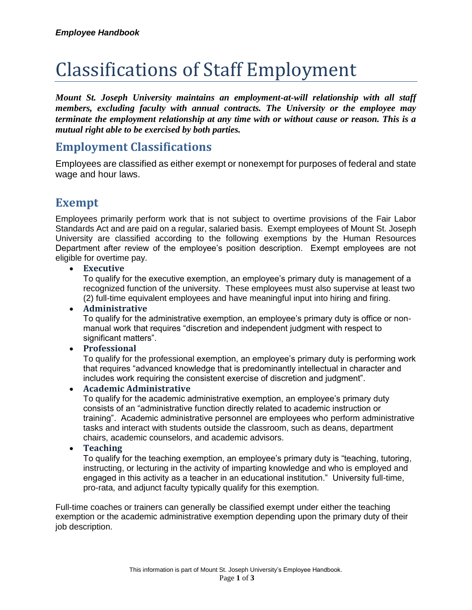# Classifications of Staff Employment

*Mount St. Joseph University maintains an employment-at-will relationship with all staff members, excluding faculty with annual contracts. The University or the employee may terminate the employment relationship at any time with or without cause or reason. This is a mutual right able to be exercised by both parties.*

## **Employment Classifications**

Employees are classified as either exempt or nonexempt for purposes of federal and state wage and hour laws.

## **Exempt**

Employees primarily perform work that is not subject to overtime provisions of the Fair Labor Standards Act and are paid on a regular, salaried basis. Exempt employees of Mount St. Joseph University are classified according to the following exemptions by the Human Resources Department after review of the employee's position description. Exempt employees are not eligible for overtime pay.

#### **Executive**

To qualify for the executive exemption, an employee's primary duty is management of a recognized function of the university. These employees must also supervise at least two (2) full-time equivalent employees and have meaningful input into hiring and firing.

#### **Administrative**

To qualify for the administrative exemption, an employee's primary duty is office or nonmanual work that requires "discretion and independent judgment with respect to significant matters".

#### **Professional**

To qualify for the professional exemption, an employee's primary duty is performing work that requires "advanced knowledge that is predominantly intellectual in character and includes work requiring the consistent exercise of discretion and judgment".

#### **Academic Administrative**

To qualify for the academic administrative exemption, an employee's primary duty consists of an "administrative function directly related to academic instruction or training". Academic administrative personnel are employees who perform administrative tasks and interact with students outside the classroom, such as deans, department chairs, academic counselors, and academic advisors.

#### **Teaching**

To qualify for the teaching exemption, an employee's primary duty is "teaching, tutoring, instructing, or lecturing in the activity of imparting knowledge and who is employed and engaged in this activity as a teacher in an educational institution." University full-time, pro-rata, and adjunct faculty typically qualify for this exemption.

Full-time coaches or trainers can generally be classified exempt under either the teaching exemption or the academic administrative exemption depending upon the primary duty of their job description.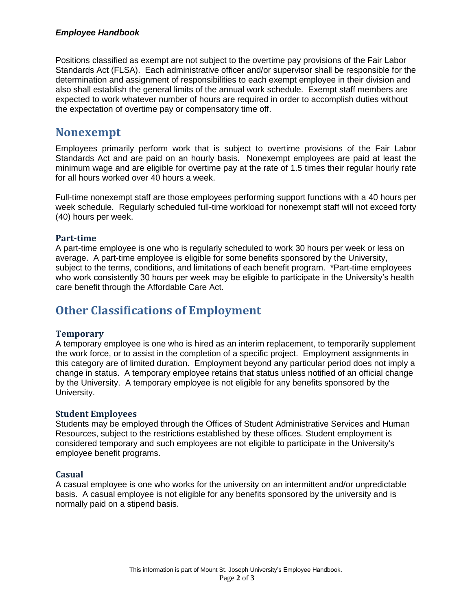#### *Employee Handbook*

Positions classified as exempt are not subject to the overtime pay provisions of the Fair Labor Standards Act (FLSA). Each administrative officer and/or supervisor shall be responsible for the determination and assignment of responsibilities to each exempt employee in their division and also shall establish the general limits of the annual work schedule. Exempt staff members are expected to work whatever number of hours are required in order to accomplish duties without the expectation of overtime pay or compensatory time off.

### **Nonexempt**

Employees primarily perform work that is subject to overtime provisions of the Fair Labor Standards Act and are paid on an hourly basis. Nonexempt employees are paid at least the minimum wage and are eligible for overtime pay at the rate of 1.5 times their regular hourly rate for all hours worked over 40 hours a week.

Full-time nonexempt staff are those employees performing support functions with a 40 hours per week schedule. Regularly scheduled full-time workload for nonexempt staff will not exceed forty (40) hours per week.

#### **Part-time**

A part-time employee is one who is regularly scheduled to work 30 hours per week or less on average. A part-time employee is eligible for some benefits sponsored by the University, subject to the terms, conditions, and limitations of each benefit program. \*Part-time employees who work consistently 30 hours per week may be eligible to participate in the University's health care benefit through the Affordable Care Act.

## **Other Classifications of Employment**

#### **Temporary**

A temporary employee is one who is hired as an interim replacement, to temporarily supplement the work force, or to assist in the completion of a specific project. Employment assignments in this category are of limited duration. Employment beyond any particular period does not imply a change in status. A temporary employee retains that status unless notified of an official change by the University. A temporary employee is not eligible for any benefits sponsored by the University.

#### **Student Employees**

Students may be employed through the Offices of Student Administrative Services and Human Resources, subject to the restrictions established by these offices. Student employment is considered temporary and such employees are not eligible to participate in the University's employee benefit programs.

#### **Casual**

A casual employee is one who works for the university on an intermittent and/or unpredictable basis. A casual employee is not eligible for any benefits sponsored by the university and is normally paid on a stipend basis.